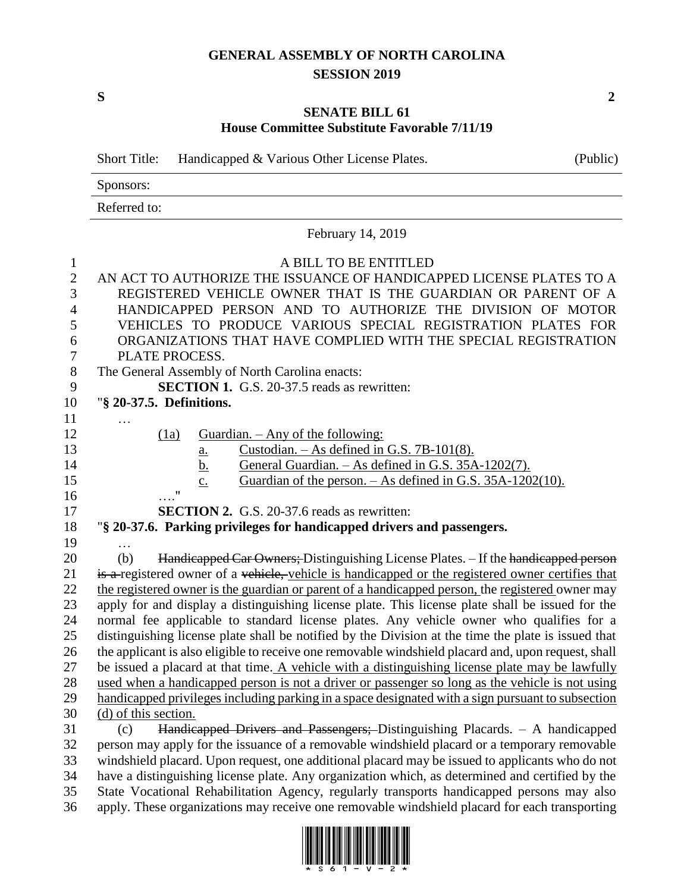## **GENERAL ASSEMBLY OF NORTH CAROLINA SESSION 2019**

## **SENATE BILL 61 House Committee Substitute Favorable 7/11/19**

|                                                     | <b>Short Title:</b><br>Handicapped & Various Other License Plates.<br>(Public)                                                                                                                                                                                                                                                                                                                                                                                                         |  |  |  |  |  |  |
|-----------------------------------------------------|----------------------------------------------------------------------------------------------------------------------------------------------------------------------------------------------------------------------------------------------------------------------------------------------------------------------------------------------------------------------------------------------------------------------------------------------------------------------------------------|--|--|--|--|--|--|
|                                                     | Sponsors:                                                                                                                                                                                                                                                                                                                                                                                                                                                                              |  |  |  |  |  |  |
|                                                     | Referred to:                                                                                                                                                                                                                                                                                                                                                                                                                                                                           |  |  |  |  |  |  |
|                                                     | February 14, 2019                                                                                                                                                                                                                                                                                                                                                                                                                                                                      |  |  |  |  |  |  |
| $\mathbf{1}$<br>$\sqrt{2}$<br>3<br>4<br>5<br>6<br>7 | A BILL TO BE ENTITLED<br>AN ACT TO AUTHORIZE THE ISSUANCE OF HANDICAPPED LICENSE PLATES TO A<br>REGISTERED VEHICLE OWNER THAT IS THE GUARDIAN OR PARENT OF A<br>HANDICAPPED PERSON AND TO AUTHORIZE THE DIVISION OF MOTOR<br>VEHICLES TO PRODUCE VARIOUS SPECIAL REGISTRATION PLATES FOR<br>ORGANIZATIONS THAT HAVE COMPLIED WITH THE SPECIAL REGISTRATION<br>PLATE PROCESS.                                                                                                           |  |  |  |  |  |  |
| $8\,$                                               | The General Assembly of North Carolina enacts:                                                                                                                                                                                                                                                                                                                                                                                                                                         |  |  |  |  |  |  |
| 9                                                   | <b>SECTION 1.</b> G.S. 20-37.5 reads as rewritten:                                                                                                                                                                                                                                                                                                                                                                                                                                     |  |  |  |  |  |  |
| 10                                                  | "§ 20-37.5. Definitions.                                                                                                                                                                                                                                                                                                                                                                                                                                                               |  |  |  |  |  |  |
| 11<br>12<br>13<br>14<br>15<br>16<br>17              | Guardian. $-$ Any of the following:<br>(1a)<br>Custodian. $-$ As defined in G.S. 7B-101(8).<br><u>a.</u><br>General Guardian. - As defined in G.S. 35A-1202(7).<br><u>b.</u><br>Guardian of the person. $-$ As defined in G.S. 35A-1202(10).<br>$\mathbf{c}$ .<br>11<br><b>SECTION 2.</b> G.S. 20-37.6 reads as rewritten:                                                                                                                                                             |  |  |  |  |  |  |
| 18                                                  | "§ 20-37.6. Parking privileges for handicapped drivers and passengers.                                                                                                                                                                                                                                                                                                                                                                                                                 |  |  |  |  |  |  |
| 19<br>20<br>21                                      | .<br>Handicapped Car Owners; Distinguishing License Plates. - If the handicapped person<br>(b)<br>is a registered owner of a vehicle, vehicle is handicapped or the registered owner certifies that                                                                                                                                                                                                                                                                                    |  |  |  |  |  |  |
| 22<br>23<br>24                                      | the registered owner is the guardian or parent of a handicapped person, the registered owner may<br>apply for and display a distinguishing license plate. This license plate shall be issued for the<br>normal fee applicable to standard license plates. Any vehicle owner who qualifies for a                                                                                                                                                                                        |  |  |  |  |  |  |
| 25<br>26<br>27                                      | distinguishing license plate shall be notified by the Division at the time the plate is issued that<br>the applicant is also eligible to receive one removable windshield placard and, upon request, shall<br>be issued a placard at that time. A vehicle with a distinguishing license plate may be lawfully                                                                                                                                                                          |  |  |  |  |  |  |
| 28                                                  | used when a handicapped person is not a driver or passenger so long as the vehicle is not using                                                                                                                                                                                                                                                                                                                                                                                        |  |  |  |  |  |  |
| 29<br>30                                            | handicapped privileges including parking in a space designated with a sign pursuant to subsection<br>(d) of this section.                                                                                                                                                                                                                                                                                                                                                              |  |  |  |  |  |  |
| 31<br>32<br>33<br>34<br>35                          | Handicapped Drivers and Passengers; Distinguishing Placards. - A handicapped<br>(c)<br>person may apply for the issuance of a removable windshield placard or a temporary removable<br>windshield placard. Upon request, one additional placard may be issued to applicants who do not<br>have a distinguishing license plate. Any organization which, as determined and certified by the<br>State Vocational Rehabilitation Agency, regularly transports handicapped persons may also |  |  |  |  |  |  |

36 apply. These organizations may receive one removable windshield placard for each transporting



**S 2**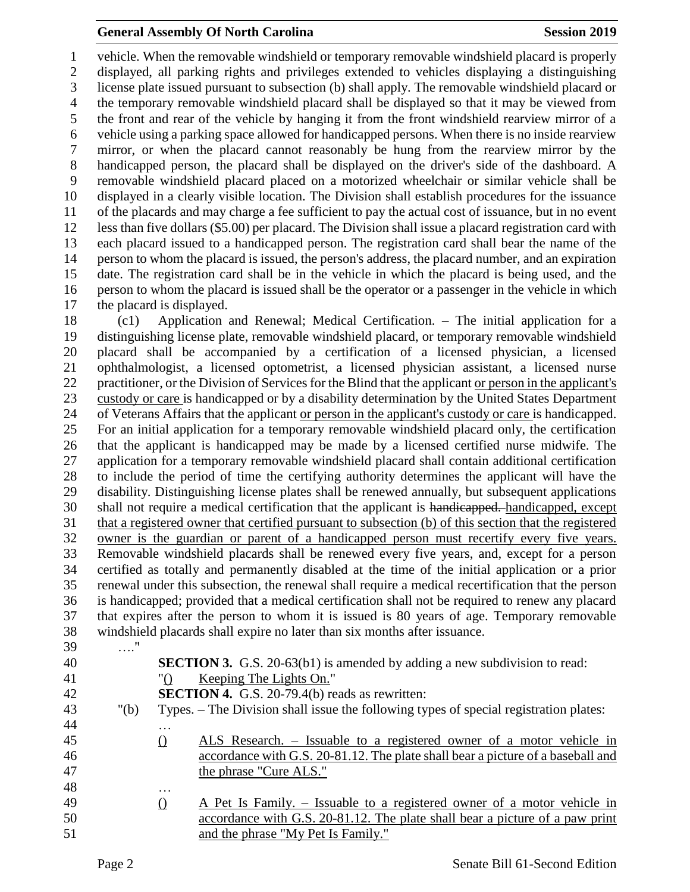## **General Assembly Of North Carolina Session 2019 Session 2019**

 vehicle. When the removable windshield or temporary removable windshield placard is properly displayed, all parking rights and privileges extended to vehicles displaying a distinguishing license plate issued pursuant to subsection (b) shall apply. The removable windshield placard or the temporary removable windshield placard shall be displayed so that it may be viewed from the front and rear of the vehicle by hanging it from the front windshield rearview mirror of a vehicle using a parking space allowed for handicapped persons. When there is no inside rearview mirror, or when the placard cannot reasonably be hung from the rearview mirror by the handicapped person, the placard shall be displayed on the driver's side of the dashboard. A removable windshield placard placed on a motorized wheelchair or similar vehicle shall be displayed in a clearly visible location. The Division shall establish procedures for the issuance of the placards and may charge a fee sufficient to pay the actual cost of issuance, but in no event less than five dollars (\$5.00) per placard. The Division shall issue a placard registration card with each placard issued to a handicapped person. The registration card shall bear the name of the person to whom the placard is issued, the person's address, the placard number, and an expiration date. The registration card shall be in the vehicle in which the placard is being used, and the person to whom the placard is issued shall be the operator or a passenger in the vehicle in which the placard is displayed.

 (c1) Application and Renewal; Medical Certification. – The initial application for a distinguishing license plate, removable windshield placard, or temporary removable windshield placard shall be accompanied by a certification of a licensed physician, a licensed ophthalmologist, a licensed optometrist, a licensed physician assistant, a licensed nurse practitioner, or the Division of Services for the Blind that the applicant or person in the applicant's custody or care is handicapped or by a disability determination by the United States Department of Veterans Affairs that the applicant or person in the applicant's custody or care is handicapped. For an initial application for a temporary removable windshield placard only, the certification that the applicant is handicapped may be made by a licensed certified nurse midwife. The application for a temporary removable windshield placard shall contain additional certification to include the period of time the certifying authority determines the applicant will have the disability. Distinguishing license plates shall be renewed annually, but subsequent applications shall not require a medical certification that the applicant is handicapped. handicapped, except that a registered owner that certified pursuant to subsection (b) of this section that the registered owner is the guardian or parent of a handicapped person must recertify every five years. Removable windshield placards shall be renewed every five years, and, except for a person certified as totally and permanently disabled at the time of the initial application or a prior renewal under this subsection, the renewal shall require a medical recertification that the person is handicapped; provided that a medical certification shall not be required to renew any placard that expires after the person to whom it is issued is 80 years of age. Temporary removable windshield placards shall expire no later than six months after issuance.

- …." **SECTION 3.** G.S. 20-63(b1) is amended by adding a new subdivision to read:
- "() Keeping The Lights On." **SECTION 4.** G.S. 20-79.4(b) reads as rewritten: "(b) Types. – The Division shall issue the following types of special registration plates: … () ALS Research. – Issuable to a registered owner of a motor vehicle in accordance with G.S. 20-81.12. The plate shall bear a picture of a baseball and the phrase "Cure ALS." … 49  $\angle$  A Pet Is Family. – Issuable to a registered owner of a motor vehicle in accordance with G.S. 20-81.12. The plate shall bear a picture of a paw print and the phrase "My Pet Is Family."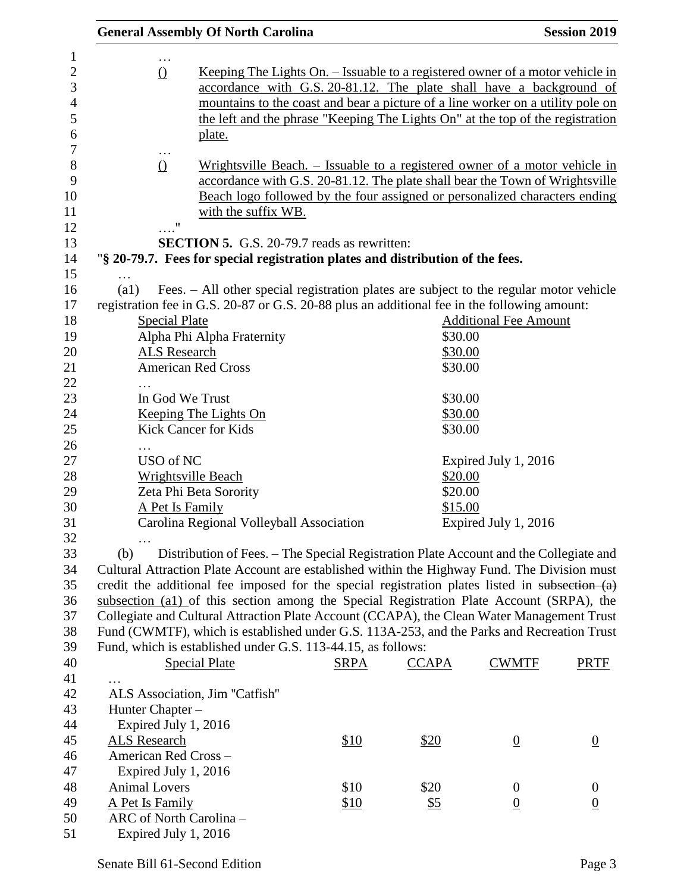|                                                                                                                                                                                                                                                                 | <b>General Assembly Of North Carolina</b>                                                      |                                                                                                                                                                                                                                                                 |                      |                                    | <b>Session 2019</b> |  |  |  |
|-----------------------------------------------------------------------------------------------------------------------------------------------------------------------------------------------------------------------------------------------------------------|------------------------------------------------------------------------------------------------|-----------------------------------------------------------------------------------------------------------------------------------------------------------------------------------------------------------------------------------------------------------------|----------------------|------------------------------------|---------------------|--|--|--|
| .<br><u>Keeping The Lights On. – Issuable to a registered owner of a motor vehicle in</u><br>$\Omega$<br>accordance with G.S. 20-81.12. The plate shall have a background of<br>mountains to the coast and bear a picture of a line worker on a utility pole on |                                                                                                |                                                                                                                                                                                                                                                                 |                      |                                    |                     |  |  |  |
|                                                                                                                                                                                                                                                                 | plate.                                                                                         | the left and the phrase "Keeping The Lights On" at the top of the registration                                                                                                                                                                                  |                      |                                    |                     |  |  |  |
|                                                                                                                                                                                                                                                                 | $\cdots$<br>$\Omega$                                                                           | Wrightsville Beach. – Issuable to a registered owner of a motor vehicle in<br>accordance with G.S. 20-81.12. The plate shall bear the Town of Wrightsville<br>Beach logo followed by the four assigned or personalized characters ending<br>with the suffix WB. |                      |                                    |                     |  |  |  |
|                                                                                                                                                                                                                                                                 | 11                                                                                             |                                                                                                                                                                                                                                                                 |                      |                                    |                     |  |  |  |
|                                                                                                                                                                                                                                                                 | <b>SECTION 5.</b> G.S. 20-79.7 reads as rewritten:                                             |                                                                                                                                                                                                                                                                 |                      |                                    |                     |  |  |  |
|                                                                                                                                                                                                                                                                 | "§ 20-79.7. Fees for special registration plates and distribution of the fees.                 |                                                                                                                                                                                                                                                                 |                      |                                    |                     |  |  |  |
| .<br>(a1)                                                                                                                                                                                                                                                       | Fees. - All other special registration plates are subject to the regular motor vehicle         |                                                                                                                                                                                                                                                                 |                      |                                    |                     |  |  |  |
|                                                                                                                                                                                                                                                                 | registration fee in G.S. 20-87 or G.S. 20-88 plus an additional fee in the following amount:   |                                                                                                                                                                                                                                                                 |                      |                                    |                     |  |  |  |
|                                                                                                                                                                                                                                                                 | <b>Special Plate</b>                                                                           |                                                                                                                                                                                                                                                                 |                      | <b>Additional Fee Amount</b>       |                     |  |  |  |
|                                                                                                                                                                                                                                                                 | Alpha Phi Alpha Fraternity                                                                     |                                                                                                                                                                                                                                                                 | \$30.00              |                                    |                     |  |  |  |
|                                                                                                                                                                                                                                                                 | <b>ALS Research</b>                                                                            |                                                                                                                                                                                                                                                                 | \$30.00              |                                    |                     |  |  |  |
|                                                                                                                                                                                                                                                                 | <b>American Red Cross</b>                                                                      |                                                                                                                                                                                                                                                                 | \$30.00              |                                    |                     |  |  |  |
|                                                                                                                                                                                                                                                                 |                                                                                                |                                                                                                                                                                                                                                                                 |                      |                                    |                     |  |  |  |
|                                                                                                                                                                                                                                                                 | In God We Trust                                                                                |                                                                                                                                                                                                                                                                 | \$30.00              |                                    |                     |  |  |  |
|                                                                                                                                                                                                                                                                 | Keeping The Lights On                                                                          |                                                                                                                                                                                                                                                                 | \$30.00              |                                    |                     |  |  |  |
|                                                                                                                                                                                                                                                                 | <b>Kick Cancer for Kids</b>                                                                    |                                                                                                                                                                                                                                                                 | \$30.00              |                                    |                     |  |  |  |
|                                                                                                                                                                                                                                                                 |                                                                                                |                                                                                                                                                                                                                                                                 |                      |                                    |                     |  |  |  |
|                                                                                                                                                                                                                                                                 | USO of NC                                                                                      |                                                                                                                                                                                                                                                                 |                      | Expired July 1, 2016               |                     |  |  |  |
|                                                                                                                                                                                                                                                                 | <b>Wrightsville Beach</b>                                                                      |                                                                                                                                                                                                                                                                 | \$20.00              |                                    |                     |  |  |  |
|                                                                                                                                                                                                                                                                 | Zeta Phi Beta Sorority                                                                         |                                                                                                                                                                                                                                                                 | \$20.00              |                                    |                     |  |  |  |
|                                                                                                                                                                                                                                                                 | A Pet Is Family                                                                                |                                                                                                                                                                                                                                                                 | \$15.00              |                                    |                     |  |  |  |
|                                                                                                                                                                                                                                                                 | Carolina Regional Volleyball Association                                                       |                                                                                                                                                                                                                                                                 | Expired July 1, 2016 |                                    |                     |  |  |  |
|                                                                                                                                                                                                                                                                 |                                                                                                |                                                                                                                                                                                                                                                                 |                      |                                    |                     |  |  |  |
| (b)                                                                                                                                                                                                                                                             | Distribution of Fees. – The Special Registration Plate Account and the Collegiate and          |                                                                                                                                                                                                                                                                 |                      |                                    |                     |  |  |  |
|                                                                                                                                                                                                                                                                 | Cultural Attraction Plate Account are established within the Highway Fund. The Division must   |                                                                                                                                                                                                                                                                 |                      |                                    |                     |  |  |  |
|                                                                                                                                                                                                                                                                 | credit the additional fee imposed for the special registration plates listed in subsection (a) |                                                                                                                                                                                                                                                                 |                      |                                    |                     |  |  |  |
|                                                                                                                                                                                                                                                                 | subsection (a1) of this section among the Special Registration Plate Account (SRPA), the       |                                                                                                                                                                                                                                                                 |                      |                                    |                     |  |  |  |
|                                                                                                                                                                                                                                                                 | Collegiate and Cultural Attraction Plate Account (CCAPA), the Clean Water Management Trust     |                                                                                                                                                                                                                                                                 |                      |                                    |                     |  |  |  |
|                                                                                                                                                                                                                                                                 | Fund (CWMTF), which is established under G.S. 113A-253, and the Parks and Recreation Trust     |                                                                                                                                                                                                                                                                 |                      |                                    |                     |  |  |  |
|                                                                                                                                                                                                                                                                 | Fund, which is established under G.S. 113-44.15, as follows:                                   |                                                                                                                                                                                                                                                                 |                      |                                    |                     |  |  |  |
|                                                                                                                                                                                                                                                                 | <b>Special Plate</b>                                                                           | <b>SRPA</b>                                                                                                                                                                                                                                                     | <b>CCAPA</b>         | <b>CWMTF</b>                       | <b>PRTF</b>         |  |  |  |
|                                                                                                                                                                                                                                                                 |                                                                                                |                                                                                                                                                                                                                                                                 |                      |                                    |                     |  |  |  |
|                                                                                                                                                                                                                                                                 | ALS Association, Jim "Catfish"                                                                 |                                                                                                                                                                                                                                                                 |                      |                                    |                     |  |  |  |
|                                                                                                                                                                                                                                                                 | Hunter Chapter -                                                                               |                                                                                                                                                                                                                                                                 |                      |                                    |                     |  |  |  |
|                                                                                                                                                                                                                                                                 | Expired July 1, 2016                                                                           |                                                                                                                                                                                                                                                                 |                      |                                    |                     |  |  |  |
| <b>ALS Research</b>                                                                                                                                                                                                                                             |                                                                                                | \$10                                                                                                                                                                                                                                                            | \$20                 | $\underline{0}$                    | $\underline{0}$     |  |  |  |
|                                                                                                                                                                                                                                                                 | American Red Cross-                                                                            |                                                                                                                                                                                                                                                                 |                      |                                    |                     |  |  |  |
| <b>Animal Lovers</b>                                                                                                                                                                                                                                            | Expired July 1, 2016                                                                           | \$10                                                                                                                                                                                                                                                            | \$20                 |                                    | $\boldsymbol{0}$    |  |  |  |
| A Pet Is Family                                                                                                                                                                                                                                                 |                                                                                                | \$10                                                                                                                                                                                                                                                            |                      | $\boldsymbol{0}$<br>$\overline{0}$ |                     |  |  |  |
|                                                                                                                                                                                                                                                                 | ARC of North Carolina -                                                                        |                                                                                                                                                                                                                                                                 | <u>\$5</u>           |                                    | $\overline{0}$      |  |  |  |
|                                                                                                                                                                                                                                                                 | Expired July 1, 2016                                                                           |                                                                                                                                                                                                                                                                 |                      |                                    |                     |  |  |  |
|                                                                                                                                                                                                                                                                 |                                                                                                |                                                                                                                                                                                                                                                                 |                      |                                    |                     |  |  |  |